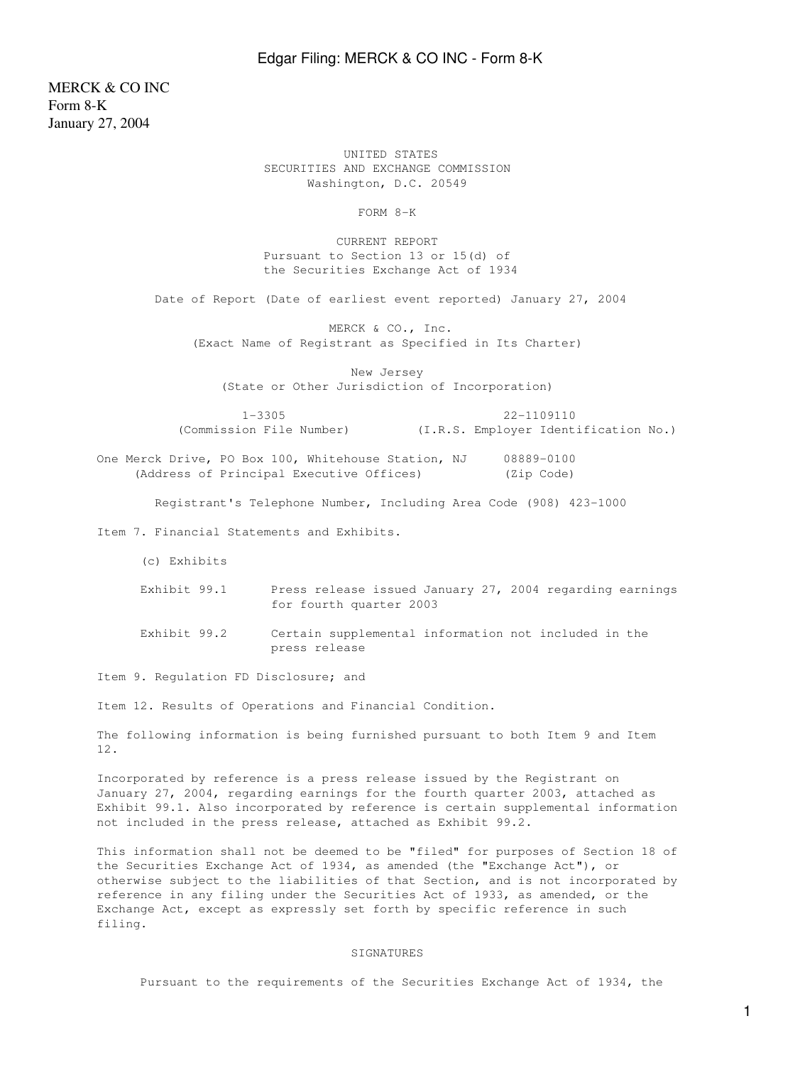## Edgar Filing: MERCK & CO INC - Form 8-K

MERCK & CO INC Form 8-K January 27, 2004

> UNITED STATES SECURITIES AND EXCHANGE COMMISSION Washington, D.C. 20549

> > FORM 8-K

 CURRENT REPORT Pursuant to Section 13 or 15(d) of the Securities Exchange Act of 1934

Date of Report (Date of earliest event reported) January 27, 2004

 MERCK & CO., Inc. (Exact Name of Registrant as Specified in Its Charter)

 New Jersey (State or Other Jurisdiction of Incorporation)

1-3305 22-1109110

(Commission File Number) (I.R.S. Employer Identification No.)

One Merck Drive, PO Box 100, Whitehouse Station, NJ 08889-0100 (Address of Principal Executive Offices) (Zip Code)

Registrant's Telephone Number, Including Area Code (908) 423-1000

Item 7. Financial Statements and Exhibits.

(c) Exhibits

- Exhibit 99.1 Press release issued January 27, 2004 regarding earnings for fourth quarter 2003
- Exhibit 99.2 Certain supplemental information not included in the press release

Item 9. Regulation FD Disclosure; and

Item 12. Results of Operations and Financial Condition.

The following information is being furnished pursuant to both Item 9 and Item 12.

Incorporated by reference is a press release issued by the Registrant on January 27, 2004, regarding earnings for the fourth quarter 2003, attached as Exhibit 99.1. Also incorporated by reference is certain supplemental information not included in the press release, attached as Exhibit 99.2.

This information shall not be deemed to be "filed" for purposes of Section 18 of the Securities Exchange Act of 1934, as amended (the "Exchange Act"), or otherwise subject to the liabilities of that Section, and is not incorporated by reference in any filing under the Securities Act of 1933, as amended, or the Exchange Act, except as expressly set forth by specific reference in such filing.

## **SIGNATURES**

Pursuant to the requirements of the Securities Exchange Act of 1934, the

1